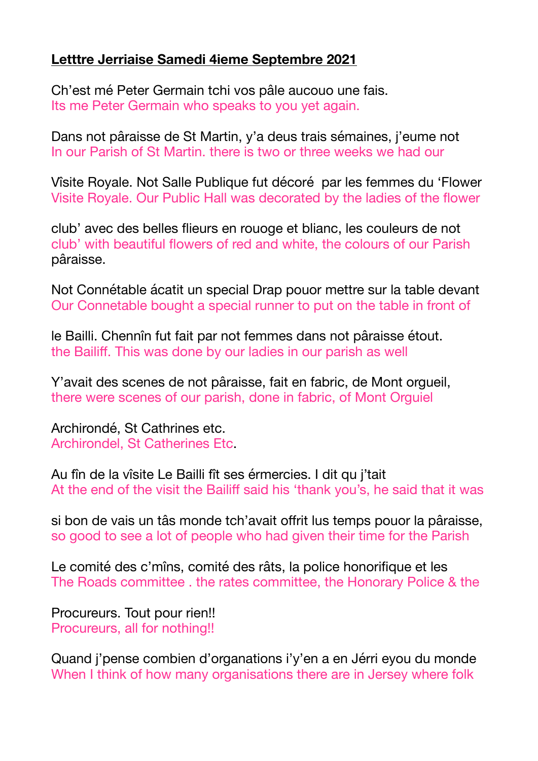## **Letttre Jerriaise Samedi 4ieme Septembre 2021**

Ch'est mé Peter Germain tchi vos pâle aucouo une fais. Its me Peter Germain who speaks to you yet again.

Dans not pâraisse de St Martin, y'a deus trais sémaines, j'eume not In our Parish of St Martin. there is two or three weeks we had our

Vîsite Royale. Not Salle Publique fut décoré par les femmes du 'Flower Visite Royale. Our Public Hall was decorated by the ladies of the flower

club' avec des belles flieurs en rouoge et blianc, les couleurs de not club' with beautiful flowers of red and white, the colours of our Parish pâraisse.

Not Connétable ácatit un special Drap pouor mettre sur la table devant Our Connetable bought a special runner to put on the table in front of

le Bailli. Chennîn fut fait par not femmes dans not pâraisse étout. the Bailiff. This was done by our ladies in our parish as well

Y'avait des scenes de not pâraisse, fait en fabric, de Mont orgueil, there were scenes of our parish, done in fabric, of Mont Orguiel

Archirondé, St Cathrines etc. Archirondel, St Catherines Etc.

Au fîn de la vîsite Le Bailli fît ses érmercies. I dit qu j'tait At the end of the visit the Bailiff said his 'thank you's, he said that it was

si bon de vais un tâs monde tch'avait offrit lus temps pouor la pâraisse, so good to see a lot of people who had given their time for the Parish

Le comité des c'mîns, comité des râts, la police honorifique et les The Roads committee . the rates committee, the Honorary Police & the

Procureurs. Tout pour rien!! Procureurs, all for nothing!!

Quand j'pense combien d'organations i'y'en a en Jérri eyou du monde When I think of how many organisations there are in Jersey where folk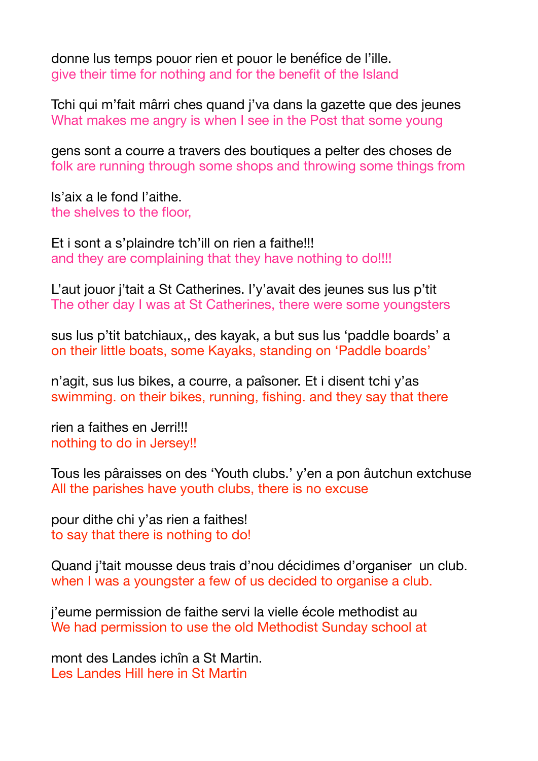donne lus temps pouor rien et pouor le benéfice de l'ille. give their time for nothing and for the benefit of the Island

Tchi qui m'fait mârri ches quand j'va dans la gazette que des jeunes What makes me angry is when I see in the Post that some young

gens sont a courre a travers des boutiques a pelter des choses de folk are running through some shops and throwing some things from

ls'aix a le fond l'aithe. the shelves to the floor,

Et i sont a s'plaindre tch'ill on rien a faithe!!! and they are complaining that they have nothing to do!!!!

L'aut jouor j'tait a St Catherines. I'y'avait des jeunes sus lus p'tit The other day I was at St Catherines, there were some youngsters

sus lus p'tit batchiaux,, des kayak, a but sus lus 'paddle boards' a on their little boats, some Kayaks, standing on 'Paddle boards'

n'agit, sus lus bikes, a courre, a paîsoner. Et i disent tchi y'as swimming. on their bikes, running, fishing. and they say that there

rien a faithes en Jerri!!! nothing to do in Jersey!!

Tous les pâraisses on des 'Youth clubs.' y'en a pon âutchun extchuse All the parishes have youth clubs, there is no excuse

pour dithe chi y'as rien a faithes! to say that there is nothing to do!

Quand j'tait mousse deus trais d'nou décidimes d'organiser un club. when I was a youngster a few of us decided to organise a club.

j'eume permission de faithe servi la vielle école methodist au We had permission to use the old Methodist Sunday school at

mont des Landes ichîn a St Martin. Les Landes Hill here in St Martin